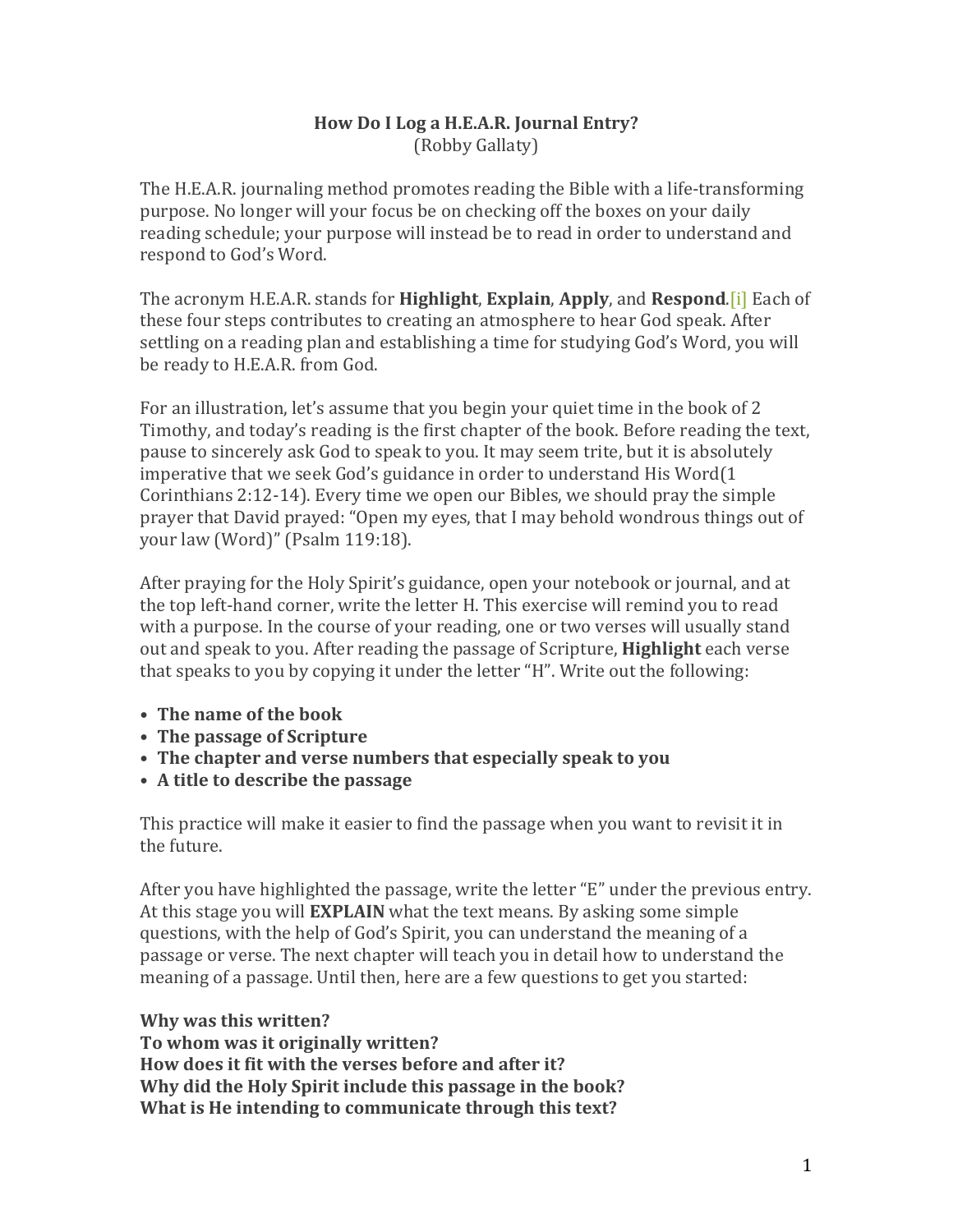## **How Do I Log a H.E.A.R. Journal Entry?** (Robby Gallaty)

The H.E.A.R. journaling method promotes reading the Bible with a life-transforming purpose. No longer will your focus be on checking off the boxes on your daily reading schedule; your purpose will instead be to read in order to understand and respond to God's Word.

The acronym H.E.A.R. stands for **Highlight**, **Explain**, **Apply**, and **Respond.** [i] Each of these four steps contributes to creating an atmosphere to hear God speak. After settling on a reading plan and establishing a time for studying God's Word, you will be ready to H.E.A.R. from God.

For an illustration, let's assume that you begin your quiet time in the book of 2 Timothy, and today's reading is the first chapter of the book. Before reading the text, pause to sincerely ask God to speak to you. It may seem trite, but it is absolutely imperative that we seek God's guidance in order to understand His Word(1) Corinthians 2:12-14). Every time we open our Bibles, we should pray the simple prayer that David prayed: "Open my eyes, that I may behold wondrous things out of your law (Word)" (Psalm 119:18).

After praying for the Holy Spirit's guidance, open your notebook or journal, and at the top left-hand corner, write the letter H. This exercise will remind you to read with a purpose. In the course of your reading, one or two verses will usually stand out and speak to you. After reading the passage of Scripture, **Highlight** each verse that speaks to you by copying it under the letter "H". Write out the following:

- The name of the book
- The passage of Scripture
- The chapter and verse numbers that especially speak to you
- A title to describe the passage

This practice will make it easier to find the passage when you want to revisit it in the future.

After you have highlighted the passage, write the letter "E" under the previous entry. At this stage you will **EXPLAIN** what the text means. By asking some simple questions, with the help of God's Spirit, you can understand the meaning of a passage or verse. The next chapter will teach you in detail how to understand the meaning of a passage. Until then, here are a few questions to get you started:

## **Why was this written?**

To whom was it originally written? How does it fit with the verses before and after it? **Why did the Holy Spirit include this passage in the book? What is He intending to communicate through this text?**